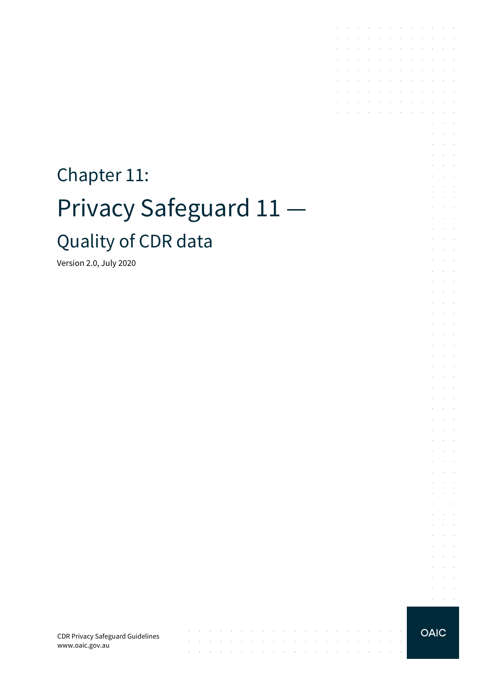# Chapter 11: Privacy Safeguard 11 — Quality of CDR data

Version 2.0, July 2020

CDR Privacy Safeguard Guidelines www.oaic.gov.au

 $\mathcal{A}^{\mathcal{A}}$  and  $\mathcal{A}^{\mathcal{A}}$  are  $\mathcal{A}^{\mathcal{A}}$  . Then

 $\mathcal{A}$  is a set of the set of  $\mathcal{A}$  . In the set of  $\mathcal{A}$ 

 $\mathcal{L}_{\mathcal{A}}$  . The second contribution of the second contribution of the second contribution of  $\mathcal{A}$ 

 $\sim$ 

the contract of the contract of the contract of

 $\sim$ 

 $\sim$ 

**Carl Carl** 

**OAIC** 

the contract of the contract of the

 $\mathcal{A}^{\mathcal{A}}$  and  $\mathcal{A}^{\mathcal{A}}$  and  $\mathcal{A}^{\mathcal{A}}$ 

 $\sim$ 

 $\mathcal{L}^{\mathcal{L}}$ **Service** and a state  $\bar{z}$  $\mathcal{L}$  $\Delta\sim 10^{-1}$ 

 $\sim$  $\Delta \sim 100$ 

 $\mathcal{L}$ 

 $\sim$  $\mathcal{L}_{\mathcal{A}}$  .  $\sim$  10  $\mu$  $\bar{z}$ à.  $\mathcal{L}^{\text{max}}$ and a state ÷  $\sim$  $\mathcal{L}^{\text{max}}$  $\sim$  $\sim 10^{-1}$  .

 $\epsilon$  $\alpha$  ,  $\beta$  ,  $\alpha$  $\mathcal{L}^{\text{max}}$  and  $\mathcal{L}^{\text{max}}$  $\sim$  $\sim$  $\sim$ **Contractor**  $\mathcal{L}^{\text{max}}$  and  $\mathcal{L}^{\text{max}}$  $\mathcal{L}$ and the control and a state

and a state **Service State** 

 $\sim$  $\sim 10^{-1}$  . and the control

 $\mathcal{L}^{\mathcal{L}}$  $\alpha$  and  $\alpha$ 

 $\sim$  $\mathcal{L}^{\text{max}}$ 

 $\mathcal{L}^{\pm}$  $\sim 10^{-11}$ **Service** State

 $\bar{z}$  $\sim$  $\sim$  $\sim$ 

 $\mathcal{L}^{\mathcal{L}}$  $\sim$  $\sim$ **Service** State  $\mathcal{A}^{\mathcal{A}}$  and  $\mathcal{A}^{\mathcal{A}}$  and  $\mathcal{A}^{\mathcal{A}}$ 

 $\mathcal{L}^{\text{max}}(\mathcal{L}^{\text{max}})$  .  $\mathcal{L}^{\text{max}}$  and  $\mathcal{L}^{\text{max}}$ 

 $\sim$ 

and the state of the state of the state of

 $\mathcal{L}^{\mathcal{A}}$  . The set of the set of the set of the set of the set of  $\mathcal{L}^{\mathcal{A}}$  $\mathcal{L}^{\text{max}}$ 

 $\mathcal{L}^{\mathcal{A}}$  . The contribution of the contribution of the contribution of  $\mathcal{L}^{\mathcal{A}}$ and the company of the company

the control of the control of

the contract of the contract of the and a series of the contract of the

 $\mathcal{L}$  $\sim$ 

> $\sim$  $\sim$  $\sim$

÷.  $\sim$ 

t,

 $\sim$  100  $\mu$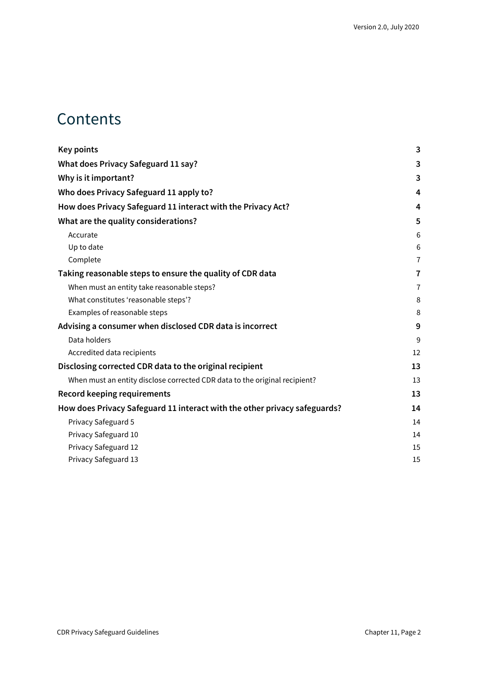### **Contents**

| <b>Key points</b>                                                          | 3              |
|----------------------------------------------------------------------------|----------------|
| What does Privacy Safeguard 11 say?                                        | 3              |
| Why is it important?                                                       | 3              |
| Who does Privacy Safeguard 11 apply to?                                    | 4              |
| How does Privacy Safeguard 11 interact with the Privacy Act?               | 4              |
| What are the quality considerations?                                       | 5              |
| Accurate                                                                   | 6              |
| Up to date                                                                 | 6              |
| Complete                                                                   | $\overline{7}$ |
| Taking reasonable steps to ensure the quality of CDR data                  | 7              |
| When must an entity take reasonable steps?                                 | $\overline{7}$ |
| What constitutes 'reasonable steps'?                                       | 8              |
| Examples of reasonable steps                                               | 8              |
| Advising a consumer when disclosed CDR data is incorrect                   | 9              |
| Data holders                                                               | 9              |
| Accredited data recipients                                                 | 12             |
| Disclosing corrected CDR data to the original recipient                    | 13             |
| When must an entity disclose corrected CDR data to the original recipient? | 13             |
| <b>Record keeping requirements</b>                                         | 13             |
| How does Privacy Safeguard 11 interact with the other privacy safeguards?  | 14             |
| Privacy Safeguard 5                                                        | 14             |
| Privacy Safeguard 10                                                       | 14             |
| Privacy Safeguard 12                                                       | 15             |
| Privacy Safeguard 13                                                       | 15             |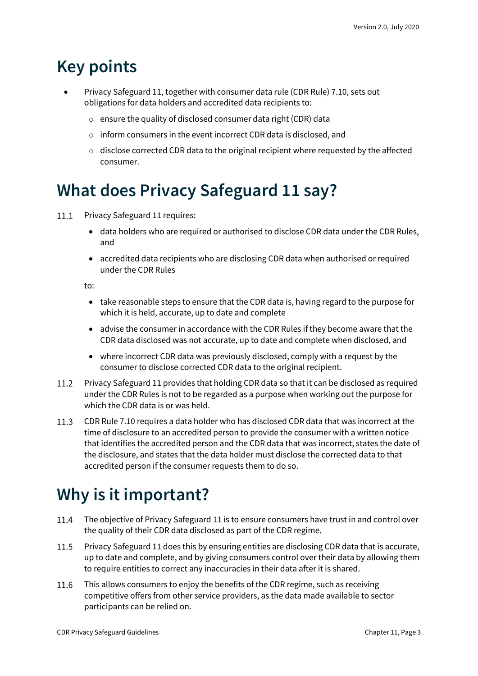### <span id="page-2-0"></span>**Key points**

- Privacy Safeguard 11, together with consumer data rule (CDR Rule) 7.10, sets out obligations for data holders and accredited data recipients to:
	- o ensure the quality of disclosed consumer data right (CDR) data
	- o inform consumers in the event incorrect CDR data is disclosed, and
	- $\circ$  disclose corrected CDR data to the original recipient where requested by the affected consumer.

### <span id="page-2-1"></span>**What does Privacy Safeguard 11 say?**

- Privacy Safeguard 11 requires:  $11.1$ 
	- data holders who are required or authorised to disclose CDR data under the CDR Rules, and
	- accredited data recipients who are disclosing CDR data when authorised or required under the CDR Rules

to:

- take reasonable steps to ensure that the CDR data is, having regard to the purpose for which it is held, accurate, up to date and complete
- advise the consumer in accordance with the CDR Rules if they become aware that the CDR data disclosed was not accurate, up to date and complete when disclosed, and
- where incorrect CDR data was previously disclosed, comply with a request by the consumer to disclose corrected CDR data to the original recipient.
- Privacy Safeguard 11 provides that holding CDR data so that it can be disclosed as required under the CDR Rules is not to be regarded as a purpose when working out the purpose for which the CDR data is or was held.
- CDR Rule 7.10 requires a data holder who has disclosed CDR data that was incorrect at the  $11.3$ time of disclosure to an accredited person to provide the consumer with a written notice that identifies the accredited person and the CDR data that was incorrect, states the date of the disclosure, and states that the data holder must disclose the corrected data to that accredited person if the consumer requests them to do so.

## <span id="page-2-2"></span>**Why is it important?**

- 11.4 The objective of Privacy Safeguard 11 is to ensure consumers have trust in and control over the quality of their CDR data disclosed as part of the CDR regime.
- 11.5 Privacy Safeguard 11 does this by ensuring entities are disclosing CDR data that is accurate, up to date and complete, and by giving consumers control over their data by allowing them to require entities to correct any inaccuracies in their data after it is shared.
- 11.6 This allows consumers to enjoy the benefits of the CDR regime, such as receiving competitive offers from other service providers, as the data made available to sector participants can be relied on.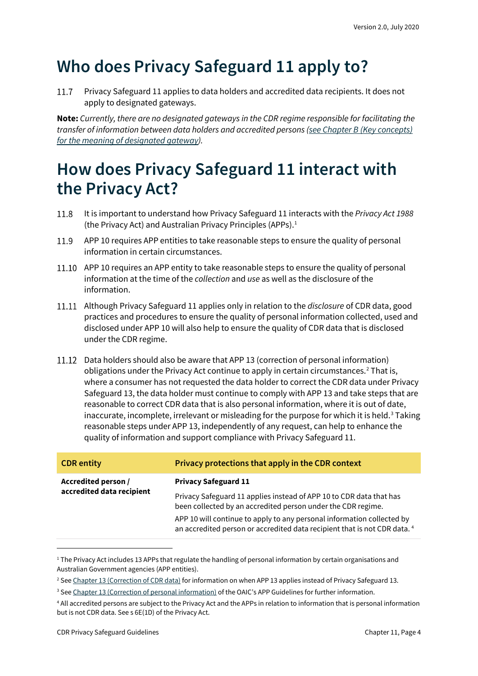## <span id="page-3-0"></span>**Who does Privacy Safeguard 11 apply to?**

Privacy Safeguard 11 applies to data holders and accredited data recipients. It does not 11.7 apply to designated gateways.

**Note:** *Currently, there are no designated gateways in the CDR regime responsible for facilitating the transfer of information between data holders and accredited persons [\(see Chapter B \(Key concepts\)](https://www.oaic.gov.au/consumer-data-right/cdr-privacy-safeguard-guidelines/chapter-b-key-concepts)  [for the meaning of designated gateway\)](https://www.oaic.gov.au/consumer-data-right/cdr-privacy-safeguard-guidelines/chapter-b-key-concepts).*

### <span id="page-3-1"></span>**How does Privacy Safeguard 11 interact with the Privacy Act?**

- 11.8 It is important to understand how Privacy Safeguard 11 interacts with the *Privacy Act 1988* (the Privacy Act) and Australian Privacy Principles (APPs). $<sup>1</sup>$  $<sup>1</sup>$  $<sup>1</sup>$ </sup>
- 11.9 APP 10 requires APP entities to take reasonable steps to ensure the quality of personal information in certain circumstances.
- 11.10 APP 10 requires an APP entity to take reasonable steps to ensure the quality of personal information at the time of the *collection* and *use* as well as the disclosure of the information.
- Although Privacy Safeguard 11 applies only in relation to the *disclosure* of CDR data, good practices and procedures to ensure the quality of personal information collected, used and disclosed under APP 10 will also help to ensure the quality of CDR data that is disclosed under the CDR regime.
- 11.12 Data holders should also be aware that APP 13 (correction of personal information) obligations under the Privacy Act continue to apply in certain circumstances. [2](#page-3-3) That is, where a consumer has not requested the data holder to correct the CDR data under Privacy Safeguard 13, the data holder must continue to comply with APP 13 and take steps that are reasonable to correct CDR data that is also personal information, where it is out of date, inaccurate, incomplete, irrelevant or misleading for the purpose for which it is held.<sup>[3](#page-3-4)</sup> Taking reasonable steps under APP 13, independently of any request, can help to enhance the quality of information and support compliance with Privacy Safeguard 11.

| <b>CDR</b> entity                                | Privacy protections that apply in the CDR context                                                                                                              |
|--------------------------------------------------|----------------------------------------------------------------------------------------------------------------------------------------------------------------|
| Accredited person /<br>accredited data recipient | <b>Privacy Safeguard 11</b>                                                                                                                                    |
|                                                  | Privacy Safeguard 11 applies instead of APP 10 to CDR data that has<br>been collected by an accredited person under the CDR regime.                            |
|                                                  | APP 10 will continue to apply to any personal information collected by<br>an accredited person or accredited data recipient that is not CDR data. <sup>4</sup> |

<span id="page-3-2"></span><sup>&</sup>lt;sup>1</sup> The Privacy Act includes 13 APPs that regulate the handling of personal information by certain organisations and Australian Government agencies (APP entities).

<span id="page-3-3"></span><sup>&</sup>lt;sup>2</sup> See Chapter 13 [\(Correction of CDR data\)](https://www.oaic.gov.au/consumer-data-right/cdr-privacy-safeguard-guidelines/chapter-13-privacy-safeguard-13-correction-of-cdr-data/) for information on when APP 13 applies instead of Privacy Safeguard 13.

<span id="page-3-4"></span><sup>&</sup>lt;sup>3</sup> Se[e Chapter 13 \(Correction of personal information\)](https://www.oaic.gov.au/privacy/australian-privacy-principles-guidelines/chapter-13-app-13-correction-of-personal-information/) of the OAIC's APP Guidelines for further information.

<span id="page-3-5"></span><sup>4</sup> All accredited persons are subject to the Privacy Act and the APPs in relation to information that is personal information but is not CDR data. See s 6E(1D) of the Privacy Act.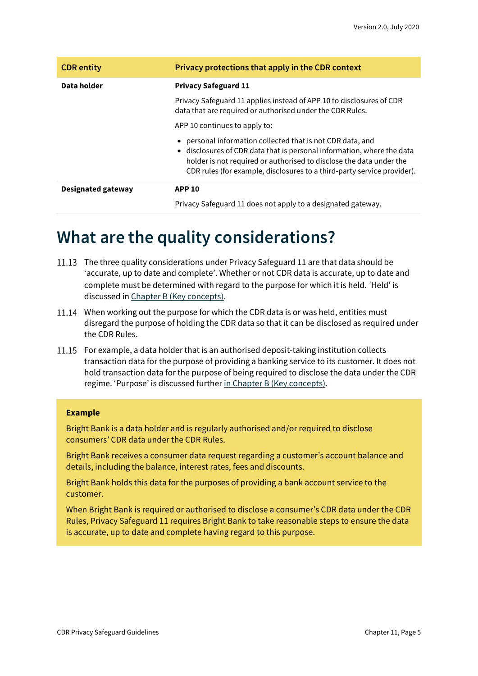| <b>CDR</b> entity         | Privacy protections that apply in the CDR context                                                                                                                                                                                                                                    |
|---------------------------|--------------------------------------------------------------------------------------------------------------------------------------------------------------------------------------------------------------------------------------------------------------------------------------|
| Data holder               | <b>Privacy Safeguard 11</b>                                                                                                                                                                                                                                                          |
|                           | Privacy Safeguard 11 applies instead of APP 10 to disclosures of CDR<br>data that are required or authorised under the CDR Rules.                                                                                                                                                    |
|                           | APP 10 continues to apply to:                                                                                                                                                                                                                                                        |
|                           | personal information collected that is not CDR data, and<br>• disclosures of CDR data that is personal information, where the data<br>holder is not required or authorised to disclose the data under the<br>CDR rules (for example, disclosures to a third-party service provider). |
| <b>Designated gateway</b> | <b>APP 10</b>                                                                                                                                                                                                                                                                        |
|                           | Privacy Safeguard 11 does not apply to a designated gateway.                                                                                                                                                                                                                         |

### <span id="page-4-0"></span>**What are the quality considerations?**

- The three quality considerations under Privacy Safeguard 11 are that data should be 'accurate, up to date and complete'. Whether or not CDR data is accurate, up to date and complete must be determined with regard to the purpose for which it is held. 'Held' is discussed i[n Chapter B \(Key concepts\).](https://www.oaic.gov.au/consumer-data-right/cdr-privacy-safeguard-guidelines/chapter-b-key-concepts)
- 11.14 When working out the purpose for which the CDR data is or was held, entities must disregard the purpose of holding the CDR data so that it can be disclosed as required under the CDR Rules.
- 11.15 For example, a data holder that is an authorised deposit-taking institution collects transaction data for the purpose of providing a banking service to its customer. It does not hold transaction data for the purpose of being required to disclose the data under the CDR regime. 'Purpose' is discussed further [in Chapter B \(Key concepts\).](https://www.oaic.gov.au/consumer-data-right/cdr-privacy-safeguard-guidelines/chapter-b-key-concepts)

#### **Example**

Bright Bank is a data holder and is regularly authorised and/or required to disclose consumers' CDR data under the CDR Rules.

Bright Bank receives a consumer data request regarding a customer's account balance and details, including the balance, interest rates, fees and discounts.

Bright Bank holds this data for the purposes of providing a bank account service to the customer.

When Bright Bank is required or authorised to disclose a consumer's CDR data under the CDR Rules, Privacy Safeguard 11 requires Bright Bank to take reasonable steps to ensure the data is accurate, up to date and complete having regard to this purpose.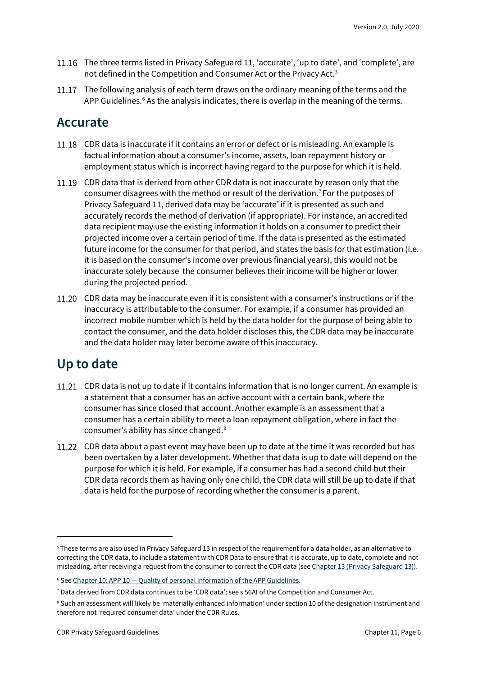- 11.16 The three terms listed in Privacy Safeguard 11, 'accurate', 'up to date', and 'complete', are not defined in the Competition and Consumer Act or the Privacy Act.<sup>[5](#page-5-2)</sup>
- 11.17 The following analysis of each term draws on the ordinary meaning of the terms and the APP Guidelines. $6$  As the analysis indicates, there is overlap in the meaning of the terms.

#### <span id="page-5-0"></span>**Accurate**

- 11.18 CDR data is inaccurate if it contains an error or defect or is misleading. An example is factual information about a consumer's income, assets, loan repayment history or employment status which is incorrect having regard to the purpose for which it is held.
- 11.19 CDR data that is derived from other CDR data is not inaccurate by reason only that the consumer disagrees with the method or result of the derivation.[7](#page-5-4) For the purposes of Privacy Safeguard 11, derived data may be 'accurate' if it is presented as such and accurately records the method of derivation (if appropriate). For instance, an accredited data recipient may use the existing information it holds on a consumer to predict their projected income over a certain period of time. If the data is presented as the estimated future income for the consumer for that period, and states the basis for that estimation (i.e. it is based on the consumer's income over previous financial years), this would not be inaccurate solely because the consumer believes their income will be higher or lower during the projected period.
- CDR data may be inaccurate even if it is consistent with a consumer's instructions or if the inaccuracy is attributable to the consumer. For example, if a consumer has provided an incorrect mobile number which is held by the data holder for the purpose of being able to contact the consumer, and the data holder discloses this, the CDR data may be inaccurate and the data holder may later become aware of this inaccuracy.

### <span id="page-5-1"></span>**Up to date**

- 11.21 CDR data is not up to date if it contains information that is no longer current. An example is a statement that a consumer has an active account with a certain bank, where the consumer has since closed that account. Another example is an assessment that a consumer has a certain ability to meet a loan repayment obligation, where in fact the consumer's ability has since changed.[8](#page-5-5)
- 11.22 CDR data about a past event may have been up to date at the time it was recorded but has been overtaken by a later development. Whether that data is up to date will depend on the purpose for which it is held. For example, if a consumer has had a second child but their CDR data records them as having only one child, the CDR data will still be up to date if that data is held for the purpose of recording whether the consumer is a parent.

<span id="page-5-2"></span><sup>&</sup>lt;sup>5</sup> These terms are also used in Privacy Safeguard 13 in respect of the requirement for a data holder, as an alternative to correcting the CDR data, to include a statement with CDR Data to ensure that it is accurate, up to date, complete and not misleading, after receiving a request from the consumer to correct the CDR data (see [Chapter 13 \(Privacy Safeguard 13\)\)](https://www.oaic.gov.au/consumer-data-right/cdr-privacy-safeguard-guidelines/chapter-13-privacy-safeguard-13-correction-of-cdr-data).

<span id="page-5-3"></span><sup>&</sup>lt;sup>6</sup> See Chapter 10: APP 10 - [Quality of personal information of the APP Guidelines.](https://www.oaic.gov.au/privacy/australian-privacy-principles-guidelines/chapter-10-app-10-quality-of-personal-information/)

<span id="page-5-4"></span><sup>7</sup> Data derived from CDR data continues to be 'CDR data': see s 56AI of the Competition and Consumer Act.

<span id="page-5-5"></span><sup>&</sup>lt;sup>8</sup> Such an assessment will likely be 'materially enhanced information' under section 10 of the designation instrument and therefore not 'required consumer data' under the CDR Rules.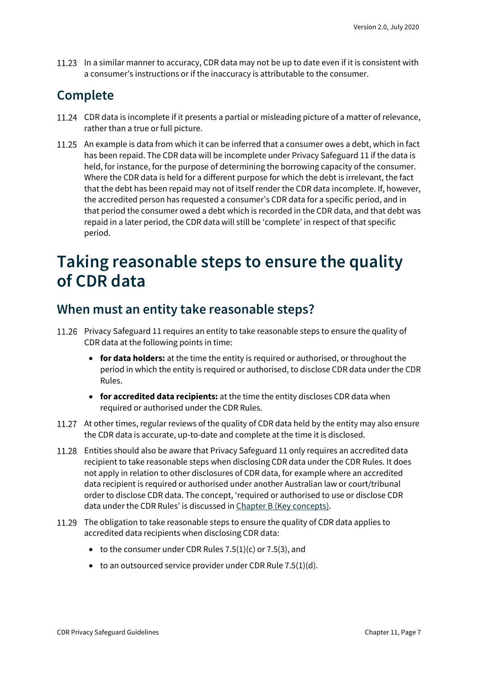11.23 In a similar manner to accuracy, CDR data may not be up to date even if it is consistent with a consumer's instructions or if the inaccuracy is attributable to the consumer.

### <span id="page-6-0"></span>**Complete**

- 11.24 CDR data is incomplete if it presents a partial or misleading picture of a matter of relevance, rather than a true or full picture.
- 11.25 An example is data from which it can be inferred that a consumer owes a debt, which in fact has been repaid. The CDR data will be incomplete under Privacy Safeguard 11 if the data is held, for instance, for the purpose of determining the borrowing capacity of the consumer. Where the CDR data is held for a different purpose for which the debt is irrelevant, the fact that the debt has been repaid may not of itself render the CDR data incomplete. If, however, the accredited person has requested a consumer's CDR data for a specific period, and in that period the consumer owed a debt which is recorded in the CDR data, and that debt was repaid in a later period, the CDR data will still be 'complete' in respect of that specific period.

### <span id="page-6-1"></span>**Taking reasonable steps to ensure the quality of CDR data**

#### <span id="page-6-2"></span>**When must an entity take reasonable steps?**

- 11.26 Privacy Safeguard 11 requires an entity to take reasonable steps to ensure the quality of CDR data at the following points in time:
	- **for data holders:** at the time the entity is required or authorised, or throughout the period in which the entity is required or authorised, to disclose CDR data under the CDR Rules.
	- **for accredited data recipients:** at the time the entity discloses CDR data when required or authorised under the CDR Rules.
- 11.27 At other times, regular reviews of the quality of CDR data held by the entity may also ensure the CDR data is accurate, up-to-date and complete at the time it is disclosed.
- Entities should also be aware that Privacy Safeguard 11 only requires an accredited data recipient to take reasonable steps when disclosing CDR data under the CDR Rules. It does not apply in relation to other disclosures of CDR data, for example where an accredited data recipient is required or authorised under another Australian law or court/tribunal order to disclose CDR data. The concept, 'required or authorised to use or disclose CDR data under the CDR Rules' is discussed i[n Chapter B \(Key concepts\).](https://www.oaic.gov.au/consumer-data-right/cdr-privacy-safeguard-guidelines/chapter-b-key-concepts)
- The obligation to take reasonable steps to ensure the quality of CDR data applies to accredited data recipients when disclosing CDR data:
	- to the consumer under CDR Rules  $7.5(1)(c)$  or  $7.5(3)$ , and
	- $\bullet$  to an outsourced service provider under CDR Rule 7.5(1)(d).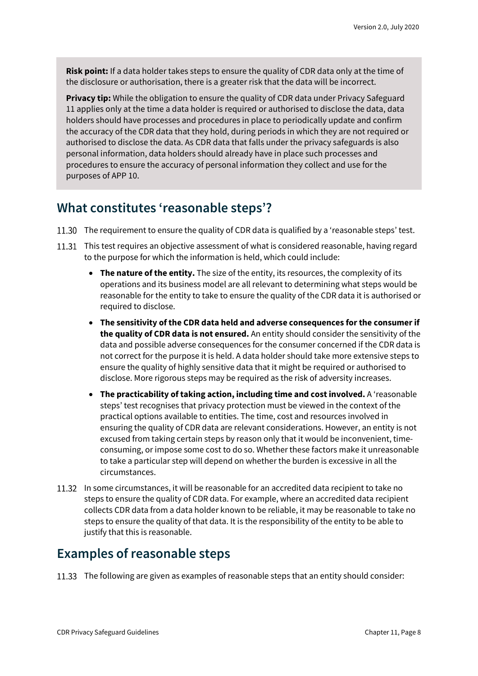**Risk point:** If a data holder takes steps to ensure the quality of CDR data only at the time of the disclosure or authorisation, there is a greater risk that the data will be incorrect.

**Privacy tip:** While the obligation to ensure the quality of CDR data under Privacy Safeguard 11 applies only at the time a data holder is required or authorised to disclose the data, data holders should have processes and procedures in place to periodically update and confirm the accuracy of the CDR data that they hold, during periods in which they are not required or authorised to disclose the data. As CDR data that falls under the privacy safeguards is also personal information, data holders should already have in place such processes and procedures to ensure the accuracy of personal information they collect and use for the purposes of APP 10.

#### <span id="page-7-0"></span>**What constitutes 'reasonable steps'?**

- 11.30 The requirement to ensure the quality of CDR data is qualified by a 'reasonable steps' test.
- 11.31 This test requires an objective assessment of what is considered reasonable, having regard to the purpose for which the information is held, which could include:
	- **The nature of the entity.** The size of the entity, its resources, the complexity of its operations and its business model are all relevant to determining what steps would be reasonable for the entity to take to ensure the quality of the CDR data it is authorised or required to disclose.
	- **The sensitivity of the CDR data held and adverse consequences for the consumer if the quality of CDR data is not ensured.** An entity should consider the sensitivity of the data and possible adverse consequences for the consumer concerned if the CDR data is not correct for the purpose it is held. A data holder should take more extensive steps to ensure the quality of highly sensitive data that it might be required or authorised to disclose. More rigorous steps may be required as the risk of adversity increases.
	- **The practicability of taking action, including time and cost involved.** A 'reasonable steps' test recognises that privacy protection must be viewed in the context of the practical options available to entities. The time, cost and resources involved in ensuring the quality of CDR data are relevant considerations. However, an entity is not excused from taking certain steps by reason only that it would be inconvenient, timeconsuming, or impose some cost to do so. Whether these factors make it unreasonable to take a particular step will depend on whether the burden is excessive in all the circumstances.
- In some circumstances, it will be reasonable for an accredited data recipient to take no steps to ensure the quality of CDR data. For example, where an accredited data recipient collects CDR data from a data holder known to be reliable, it may be reasonable to take no steps to ensure the quality of that data. It is the responsibility of the entity to be able to justify that this is reasonable.

### <span id="page-7-1"></span>**Examples of reasonable steps**

11.33 The following are given as examples of reasonable steps that an entity should consider: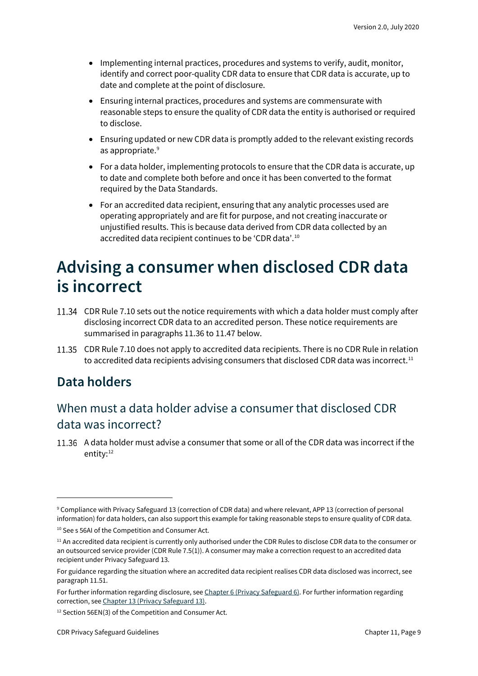- Implementing internal practices, procedures and systems to verify, audit, monitor, identify and correct poor-quality CDR data to ensure that CDR data is accurate, up to date and complete at the point of disclosure.
- Ensuring internal practices, procedures and systems are commensurate with reasonable steps to ensure the quality of CDR data the entity is authorised or required to disclose.
- Ensuring updated or new CDR data is promptly added to the relevant existing records as appropriate. [9](#page-8-2)
- For a data holder, implementing protocols to ensure that the CDR data is accurate, up to date and complete both before and once it has been converted to the format required by the Data Standards.
- For an accredited data recipient, ensuring that any analytic processes used are operating appropriately and are fit for purpose, and not creating inaccurate or unjustified results. This is because data derived from CDR data collected by an accredited data recipient continues to be 'CDR data'.<sup>[10](#page-8-3)</sup>

### <span id="page-8-0"></span>**Advising a consumer when disclosed CDR data is incorrect**

- CDR Rule 7.10 sets out the notice requirements with which a data holder must comply after disclosing incorrect CDR data to an accredited person. These notice requirements are summarised in paragraphs 11.36 to 11.47 below.
- 11.35 CDR Rule 7.10 does not apply to accredited data recipients. There is no CDR Rule in relation to accredited data recipients advising consumers that disclosed CDR data was incorrect.<sup>[11](#page-8-4)</sup>

### <span id="page-8-1"></span>**Data holders**

### When must a data holder advise a consumer that disclosed CDR data was incorrect?

A data holder must advise a consumer that some or all of the CDR data was incorrect if the entity: [12](#page-8-5)

<span id="page-8-2"></span><sup>9</sup> Compliance with Privacy Safeguard 13 (correction of CDR data) and where relevant, APP 13 (correction of personal information) for data holders, can also support this example for taking reasonable steps to ensure quality of CDR data.

<span id="page-8-3"></span><sup>&</sup>lt;sup>10</sup> See s 56AI of the Competition and Consumer Act.

<span id="page-8-4"></span><sup>&</sup>lt;sup>11</sup> An accredited data recipient is currently only authorised under the CDR Rules to disclose CDR data to the consumer or an outsourced service provider (CDR Rule 7.5(1)). A consumer may make a correction request to an accredited data recipient under Privacy Safeguard 13.

For guidance regarding the situation where an accredited data recipient realises CDR data disclosed was incorrect, see paragraph 11.51.

For further information regarding disclosure, see [Chapter 6 \(Privacy Safeguard 6\).](https://www.oaic.gov.au/consumer-data-right/cdr-privacy-safeguard-guidelines/chapter-6-privacy-safeguard-6-use-or-disclosure-of-cdr-data-by-accredited-data-recipients-or-designated-gateways) For further information regarding correction, se[e Chapter 13 \(Privacy Safeguard 13\).](https://www.oaic.gov.au/consumer-data-right/cdr-privacy-safeguard-guidelines/chapter-13-privacy-safeguard-13-correction-of-cdr-data)

<span id="page-8-5"></span><sup>12</sup> Section 56EN(3) of the Competition and Consumer Act.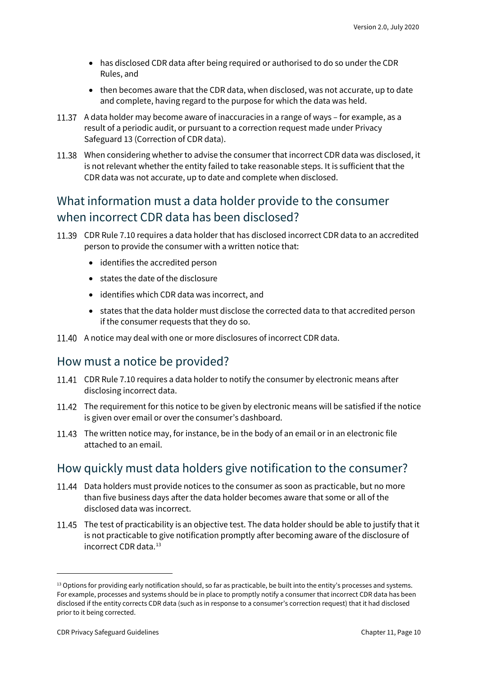- has disclosed CDR data after being required or authorised to do so under the CDR Rules, and
- then becomes aware that the CDR data, when disclosed, was not accurate, up to date and complete, having regard to the purpose for which the data was held.
- 11.37 A data holder may become aware of inaccuracies in a range of ways for example, as a result of a periodic audit, or pursuant to a correction request made under Privacy Safeguard 13 (Correction of CDR data).
- When considering whether to advise the consumer that incorrect CDR data was disclosed, it is not relevant whether the entity failed to take reasonable steps. It is sufficient that the CDR data was not accurate, up to date and complete when disclosed.

#### What information must a data holder provide to the consumer when incorrect CDR data has been disclosed?

- CDR Rule 7.10 requires a data holder that has disclosed incorrect CDR data to an accredited person to provide the consumer with a written notice that:
	- identifies the accredited person
	- states the date of the disclosure
	- identifies which CDR data was incorrect, and
	- states that the data holder must disclose the corrected data to that accredited person if the consumer requests that they do so.
- 11.40 A notice may deal with one or more disclosures of incorrect CDR data.

#### How must a notice be provided?

- CDR Rule 7.10 requires a data holder to notify the consumer by electronic means after disclosing incorrect data.
- 11.42 The requirement for this notice to be given by electronic means will be satisfied if the notice is given over email or over the consumer's dashboard.
- 11.43 The written notice may, for instance, be in the body of an email or in an electronic file attached to an email.

#### How quickly must data holders give notification to the consumer?

- 11.44 Data holders must provide notices to the consumer as soon as practicable, but no more than five business days after the data holder becomes aware that some or all of the disclosed data was incorrect.
- 11.45 The test of practicability is an objective test. The data holder should be able to justify that it is not practicable to give notification promptly after becoming aware of the disclosure of incorrect CDR data.<sup>[13](#page-9-0)</sup>

<span id="page-9-0"></span><sup>&</sup>lt;sup>13</sup> Options for providing early notification should, so far as practicable, be built into the entity's processes and systems. For example, processes and systems should be in place to promptly notify a consumer that incorrect CDR data has been disclosed if the entity corrects CDR data (such as in response to a consumer's correction request) that it had disclosed prior to it being corrected.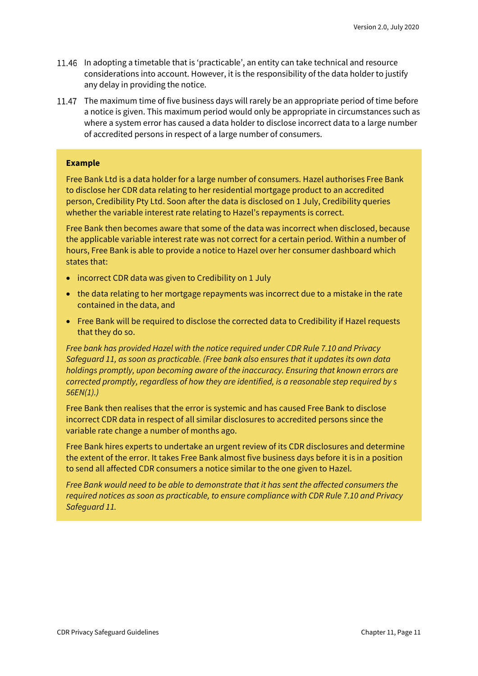- In adopting a timetable that is 'practicable', an entity can take technical and resource considerations into account. However, it is the responsibility of the data holder to justify any delay in providing the notice.
- 11.47 The maximum time of five business days will rarely be an appropriate period of time before a notice is given. This maximum period would only be appropriate in circumstances such as where a system error has caused a data holder to disclose incorrect data to a large number of accredited persons in respect of a large number of consumers.

#### **Example**

Free Bank Ltd is a data holder for a large number of consumers. Hazel authorises Free Bank to disclose her CDR data relating to her residential mortgage product to an accredited person, Credibility Pty Ltd. Soon after the data is disclosed on 1 July, Credibility queries whether the variable interest rate relating to Hazel's repayments is correct.

Free Bank then becomes aware that some of the data was incorrect when disclosed, because the applicable variable interest rate was not correct for a certain period. Within a number of hours, Free Bank is able to provide a notice to Hazel over her consumer dashboard which states that:

- incorrect CDR data was given to Credibility on 1 July
- the data relating to her mortgage repayments was incorrect due to a mistake in the rate contained in the data, and
- Free Bank will be required to disclose the corrected data to Credibility if Hazel requests that they do so.

*Free bank has provided Hazel with the notice required under CDR Rule 7.10 and Privacy Safeguard 11, as soon as practicable. (Free bank also ensures that it updates its own data holdings promptly, upon becoming aware of the inaccuracy. Ensuring that known errors are corrected promptly, regardless of how they are identified, is a reasonable step required by s 56EN(1).)*

Free Bank then realises that the error is systemic and has caused Free Bank to disclose incorrect CDR data in respect of all similar disclosures to accredited persons since the variable rate change a number of months ago.

Free Bank hires experts to undertake an urgent review of its CDR disclosures and determine the extent of the error. It takes Free Bank almost five business days before it is in a position to send all affected CDR consumers a notice similar to the one given to Hazel.

*Free Bank would need to be able to demonstrate that it has sent the affected consumers the required notices as soon as practicable, to ensure compliance with CDR Rule 7.10 and Privacy Safeguard 11.*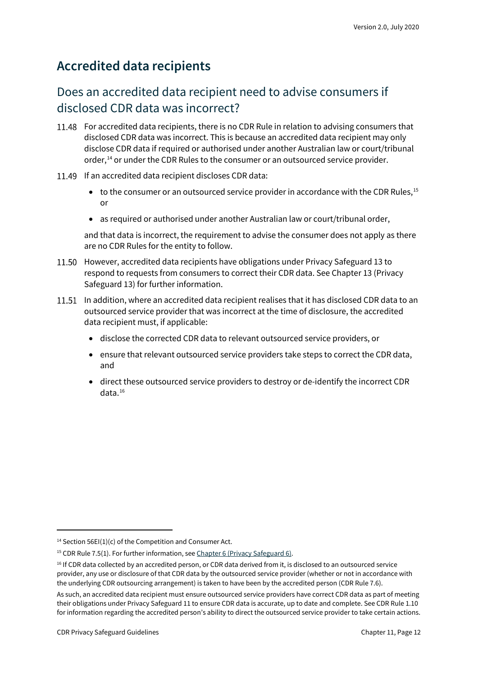#### <span id="page-11-0"></span>**Accredited data recipients**

#### Does an accredited data recipient need to advise consumers if disclosed CDR data was incorrect?

- 11.48 For accredited data recipients, there is no CDR Rule in relation to advising consumers that disclosed CDR data was incorrect. This is because an accredited data recipient may only disclose CDR data if required or authorised under another Australian law or court/tribunal order,<sup>[14](#page-11-1)</sup> or under the CDR Rules to the consumer or an outsourced service provider.
- 11.49 If an accredited data recipient discloses CDR data:
	- to the consumer or an outsourced service provider in accordance with the CDR Rules, [15](#page-11-2) or
	- as required or authorised under another Australian law or court/tribunal order,

and that data is incorrect, the requirement to advise the consumer does not apply as there are no CDR Rules for the entity to follow.

- 11.50 However, accredited data recipients have obligations under Privacy Safeguard 13 to respond to requests from consumers to correct their CDR data. See Chapter 13 (Privacy Safeguard 13) for further information.
- 11.51 In addition, where an accredited data recipient realises that it has disclosed CDR data to an outsourced service provider that was incorrect at the time of disclosure, the accredited data recipient must, if applicable:
	- disclose the corrected CDR data to relevant outsourced service providers, or
	- ensure that relevant outsourced service providers take steps to correct the CDR data, and
	- direct these outsourced service providers to destroy or de-identify the incorrect CDR data.[16](#page-11-3)

<span id="page-11-1"></span><sup>&</sup>lt;sup>14</sup> Section 56EI(1)(c) of the Competition and Consumer Act.

<span id="page-11-2"></span><sup>&</sup>lt;sup>15</sup> CDR Rule 7.5(1). For further information, se[e Chapter 6 \(Privacy Safeguard 6\).](https://www.oaic.gov.au/consumer-data-right/cdr-privacy-safeguard-guidelines/chapter-6-privacy-safeguard-6-use-or-disclosure-of-cdr-data-by-accredited-data-recipients-or-designated-gateways)

<span id="page-11-3"></span><sup>&</sup>lt;sup>16</sup> If CDR data collected by an accredited person, or CDR data derived from it, is disclosed to an outsourced service provider, any use or disclosure of that CDR data by the outsourced service provider (whether or not in accordance with the underlying CDR outsourcing arrangement) is taken to have been by the accredited person (CDR Rule 7.6).

As such, an accredited data recipient must ensure outsourced service providers have correct CDR data as part of meeting their obligations under Privacy Safeguard 11 to ensure CDR data is accurate, up to date and complete. See CDR Rule 1.10 for information regarding the accredited person's ability to direct the outsourced service provider to take certain actions.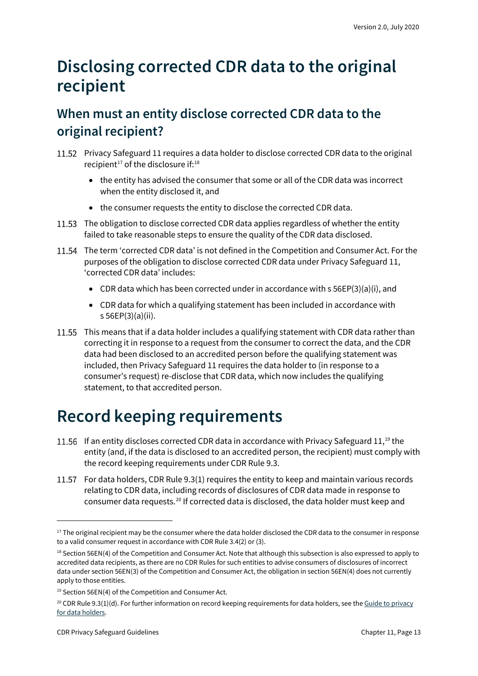## <span id="page-12-0"></span>**Disclosing corrected CDR data to the original recipient**

### <span id="page-12-1"></span>**When must an entity disclose corrected CDR data to the original recipient?**

- Privacy Safeguard 11 requires a data holder to disclose corrected CDR data to the original recipient<sup>17</sup> of the disclosure if: $18$ 
	- the entity has advised the consumer that some or all of the CDR data was incorrect when the entity disclosed it, and
	- the consumer requests the entity to disclose the corrected CDR data.
- 11.53 The obligation to disclose corrected CDR data applies regardless of whether the entity failed to take reasonable steps to ensure the quality of the CDR data disclosed.
- 11.54 The term 'corrected CDR data' is not defined in the Competition and Consumer Act. For the purposes of the obligation to disclose corrected CDR data under Privacy Safeguard 11, 'corrected CDR data' includes:
	- CDR data which has been corrected under in accordance with s 56EP(3)(a)(i), and
	- CDR data for which a qualifying statement has been included in accordance with s 56EP(3)(a)(ii).
- 11.55 This means that if a data holder includes a qualifying statement with CDR data rather than correcting it in response to a request from the consumer to correct the data, and the CDR data had been disclosed to an accredited person before the qualifying statement was included, then Privacy Safeguard 11 requires the data holder to (in response to a consumer's request) re-disclose that CDR data, which now includes the qualifying statement, to that accredited person.

## <span id="page-12-2"></span>**Record keeping requirements**

- 11.56 If an entity discloses corrected CDR data in accordance with Privacy Safeguard 11,<sup>[19](#page-12-5)</sup> the entity (and, if the data is disclosed to an accredited person, the recipient) must comply with the record keeping requirements under CDR Rule 9.3.
- 11.57 For data holders, CDR Rule 9.3(1) requires the entity to keep and maintain various records relating to CDR data, including records of disclosures of CDR data made in response to consumer data requests.[20](#page-12-6) If corrected data is disclosed, the data holder must keep and

<span id="page-12-3"></span><sup>&</sup>lt;sup>17</sup> The original recipient may be the consumer where the data holder disclosed the CDR data to the consumer in response to a valid consumer request in accordance with CDR Rule 3.4(2) or (3).

<span id="page-12-4"></span><sup>&</sup>lt;sup>18</sup> Section 56EN(4) of the Competition and Consumer Act. Note that although this subsection is also expressed to apply to accredited data recipients, as there are no CDR Rules for such entities to advise consumers of disclosures of incorrect data under section 56EN(3) of the Competition and Consumer Act, the obligation in section 56EN(4) does not currently apply to those entities.

<span id="page-12-5"></span><sup>&</sup>lt;sup>19</sup> Section 56EN(4) of the Competition and Consumer Act.

<span id="page-12-6"></span> $20$  CDR Rule 9.3(1)(d). For further information on record keeping requirements for data holders, see the Guide to privacy [for data holders.](https://www.oaic.gov.au/consumer-data-right/guidance-and-advice/guide-to-privacy-for-data-holders/#providing-access-to-copies-of-records)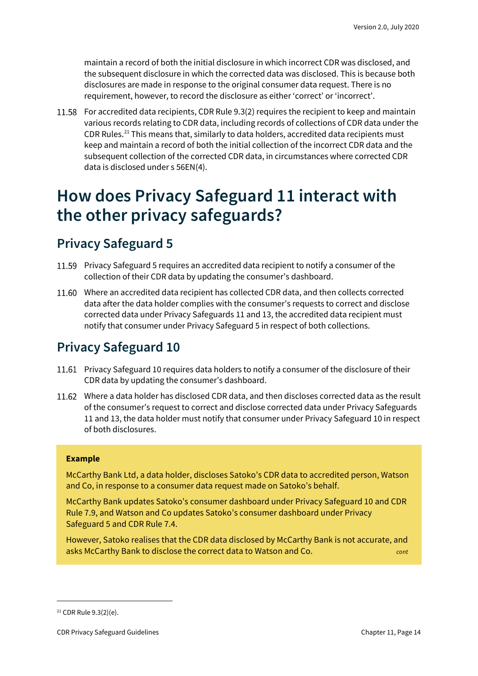maintain a record of both the initial disclosure in which incorrect CDR was disclosed, and the subsequent disclosure in which the corrected data was disclosed. This is because both disclosures are made in response to the original consumer data request. There is no requirement, however, to record the disclosure as either 'correct' or 'incorrect'.

For accredited data recipients, CDR Rule 9.3(2) requires the recipient to keep and maintain various records relating to CDR data, including records of collections of CDR data under the CDR Rules.[21](#page-13-3) This means that, similarly to data holders, accredited data recipients must keep and maintain a record of both the initial collection of the incorrect CDR data and the subsequent collection of the corrected CDR data, in circumstances where corrected CDR data is disclosed under s 56EN(4).

### <span id="page-13-0"></span>**How does Privacy Safeguard 11 interact with the other privacy safeguards?**

#### <span id="page-13-1"></span>**Privacy Safeguard 5**

- 11.59 Privacy Safeguard 5 requires an accredited data recipient to notify a consumer of the collection of their CDR data by updating the consumer's dashboard.
- Where an accredited data recipient has collected CDR data, and then collects corrected data after the data holder complies with the consumer's requests to correct and disclose corrected data under Privacy Safeguards 11 and 13, the accredited data recipient must notify that consumer under Privacy Safeguard 5 in respect of both collections.

### <span id="page-13-2"></span>**Privacy Safeguard 10**

- Privacy Safeguard 10 requires data holders to notify a consumer of the disclosure of their CDR data by updating the consumer's dashboard.
- Where a data holder has disclosed CDR data, and then discloses corrected data as the result of the consumer's request to correct and disclose corrected data under Privacy Safeguards 11 and 13, the data holder must notify that consumer under Privacy Safeguard 10 in respect of both disclosures.

#### **Example**

McCarthy Bank Ltd, a data holder, discloses Satoko's CDR data to accredited person, Watson and Co, in response to a consumer data request made on Satoko's behalf.

McCarthy Bank updates Satoko's consumer dashboard under Privacy Safeguard 10 and CDR Rule 7.9, and Watson and Co updates Satoko's consumer dashboard under Privacy Safeguard 5 and CDR Rule 7.4.

However, Satoko realises that the CDR data disclosed by McCarthy Bank is not accurate, and asks McCarthy Bank to disclose the correct data to Watson and Co. *cont*

<span id="page-13-3"></span><sup>21</sup> CDR Rule 9.3(2)(e).